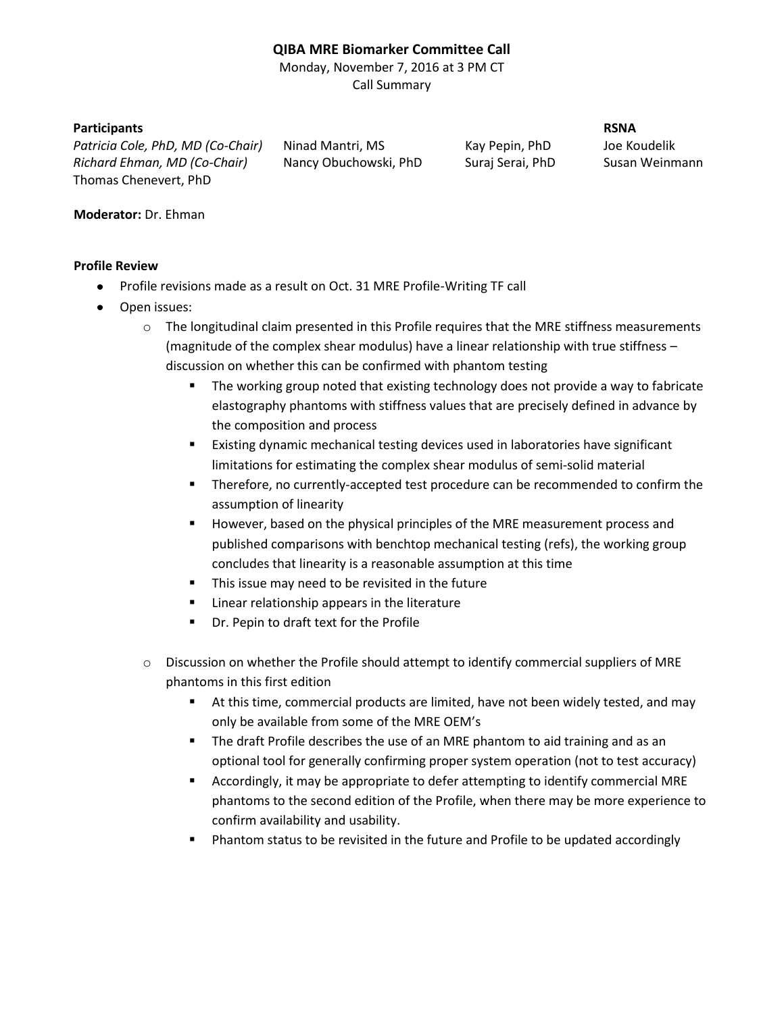## **QIBA MRE Biomarker Committee Call**

Monday, November 7, 2016 at 3 PM CT Call Summary

## **Participants RSNA**

Patricia Cole, PhD, MD (Co-Chair) Ninad Mantri, MS Kay Pepin, PhD Joe Koudelik *Richard Ehman, MD (Co-Chair)* Nancy Obuchowski, PhD Suraj Serai, PhD Susan Weinmann Thomas Chenevert, PhD

## **Moderator:** Dr. Ehman

## **Profile Review**

- Profile revisions made as a result on Oct. 31 MRE Profile-Writing TF call
- Open issues:
	- $\circ$  The longitudinal claim presented in this Profile requires that the MRE stiffness measurements (magnitude of the complex shear modulus) have a linear relationship with true stiffness – discussion on whether this can be confirmed with phantom testing
		- **The working group noted that existing technology does not provide a way to fabricate** elastography phantoms with stiffness values that are precisely defined in advance by the composition and process
		- Existing dynamic mechanical testing devices used in laboratories have significant limitations for estimating the complex shear modulus of semi-solid material
		- Therefore, no currently-accepted test procedure can be recommended to confirm the assumption of linearity
		- However, based on the physical principles of the MRE measurement process and published comparisons with benchtop mechanical testing (refs), the working group concludes that linearity is a reasonable assumption at this time
		- This issue may need to be revisited in the future
		- **EXEC** Linear relationship appears in the literature
		- **Part Compart 1** Dr. Pepin to draft text for the Profile
	- $\circ$  Discussion on whether the Profile should attempt to identify commercial suppliers of MRE phantoms in this first edition
		- At this time, commercial products are limited, have not been widely tested, and may only be available from some of the MRE OEM's
		- **The draft Profile describes the use of an MRE phantom to aid training and as an** optional tool for generally confirming proper system operation (not to test accuracy)
		- Accordingly, it may be appropriate to defer attempting to identify commercial MRE phantoms to the second edition of the Profile, when there may be more experience to confirm availability and usability.
		- Phantom status to be revisited in the future and Profile to be updated accordingly